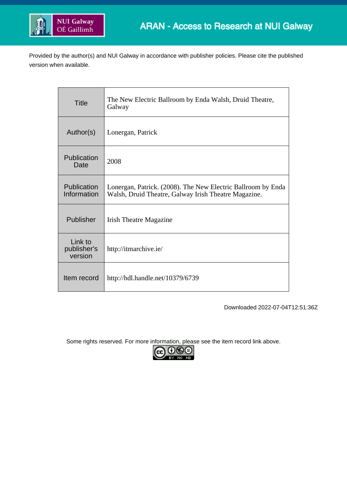

Provided by the author(s) and NUI Galway in accordance with publisher policies. Please cite the published version when available.

| <b>Title</b>                      | The New Electric Ballroom by Enda Walsh, Druid Theatre,<br>Galway                                                    |
|-----------------------------------|----------------------------------------------------------------------------------------------------------------------|
| Author(s)                         | Lonergan, Patrick                                                                                                    |
| Publication<br>Date               | 2008                                                                                                                 |
| Publication<br>Information        | Lonergan, Patrick. (2008). The New Electric Ballroom by Enda<br>Walsh, Druid Theatre, Galway Irish Theatre Magazine. |
| Publisher                         | <b>Irish Theatre Magazine</b>                                                                                        |
| Link to<br>publisher's<br>version | http://itmarchive.ie/                                                                                                |
| Item record                       | http://hdl.handle.net/10379/6739                                                                                     |

Downloaded 2022-07-04T12:51:36Z

Some rights reserved. For more information, please see the item record link above.

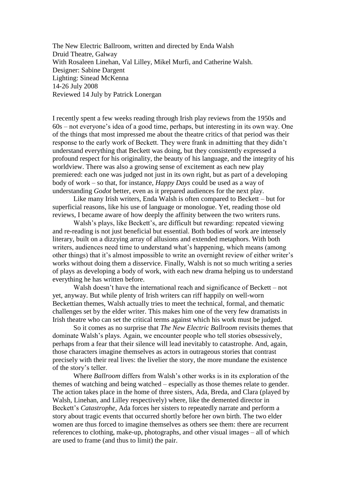The New Electric Ballroom, written and directed by Enda Walsh Druid Theatre, Galway With Rosaleen Linehan, Val Lilley, Mikel Murfi, and Catherine Walsh. Designer: Sabine Dargent Lighting: Sinead McKenna 14-26 July 2008 Reviewed 14 July by Patrick Lonergan

I recently spent a few weeks reading through Irish play reviews from the 1950s and 60s – not everyone's idea of a good time, perhaps, but interesting in its own way. One of the things that most impressed me about the theatre critics of that period was their response to the early work of Beckett. They were frank in admitting that they didn't understand everything that Beckett was doing, but they consistently expressed a profound respect for his originality, the beauty of his language, and the integrity of his worldview. There was also a growing sense of excitement as each new play premiered: each one was judged not just in its own right, but as part of a developing body of work – so that, for instance, *Happy Days* could be used as a way of understanding *Godot* better, even as it prepared audiences for the next play.

Like many Irish writers, Enda Walsh is often compared to Beckett – but for superficial reasons, like his use of language or monologue. Yet, reading those old reviews, I became aware of how deeply the affinity between the two writers runs.

Walsh's plays, like Beckett's, are difficult but rewarding: repeated viewing and re-reading is not just beneficial but essential. Both bodies of work are intensely literary, built on a dizzying array of allusions and extended metaphors. With both writers, audiences need time to understand what's happening, which means (among other things) that it's almost impossible to write an overnight review of either writer's works without doing them a disservice. Finally, Walsh is not so much writing a series of plays as developing a body of work, with each new drama helping us to understand everything he has written before.

Walsh doesn't have the international reach and significance of Beckett – not yet, anyway. But while plenty of Irish writers can riff happily on well-worn Beckettian themes, Walsh actually tries to meet the technical, formal, and thematic challenges set by the elder writer. This makes him one of the very few dramatists in Irish theatre who can set the critical terms against which his work must be judged.

So it comes as no surprise that *The New Electric Ballroom* revisits themes that dominate Walsh's plays. Again, we encounter people who tell stories obsessively, perhaps from a fear that their silence will lead inevitably to catastrophe. And, again, those characters imagine themselves as actors in outrageous stories that contrast precisely with their real lives: the livelier the story, the more mundane the existence of the story's teller.

Where *Ballroom* differs from Walsh's other works is in its exploration of the themes of watching and being watched – especially as those themes relate to gender. The action takes place in the home of three sisters, Ada, Breda, and Clara (played by Walsh, Linehan, and Lilley respectively) where, like the demented director in Beckett's *Catastrophe*, Ada forces her sisters to repeatedly narrate and perform a story about tragic events that occurred shortly before her own birth. The two elder women are thus forced to imagine themselves as others see them: there are recurrent references to clothing, make-up, photographs, and other visual images – all of which are used to frame (and thus to limit) the pair.